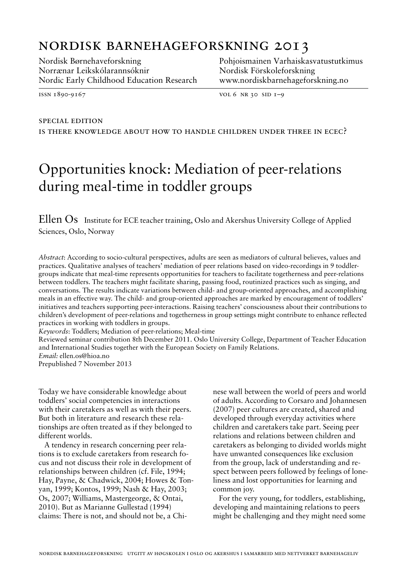## nordisk barnehageforskning 2013

Nordisk Børnehaveforskning Norrænar Leikskólarannsóknir Nordic Early Childhood Education Research

Pohjoismainen Varhaiskasvatustutkimus Nordisk Förskoleforskning www.nordiskbarnehageforskning.no

issn 1890-9167 vol 6 nr 30 sid 1–9

special edition is there knowledge about how to handle children under three in ecec?

# Opportunities knock: Mediation of peer-relations during meal-time in toddler groups

Ellen Os Institute for ECE teacher training, Oslo and Akershus University College of Applied Sciences, Oslo, Norway

*Abstract*: According to socio-cultural perspectives, adults are seen as mediators of cultural believes, values and practices. Qualitative analyses of teachers' mediation of peer relations based on video-recordings in 9 toddlergroups indicate that meal-time represents opportunities for teachers to facilitate togetherness and peer-relations between toddlers. The teachers might facilitate sharing, passing food, routinized practices such as singing, and conversations. The results indicate variations between child- and group-oriented approaches, and accomplishing meals in an effective way. The child- and group-oriented approaches are marked by encouragement of toddlers' initiatives and teachers supporting peer-interactions. Raising teachers' consciousness about their contributions to children's development of peer-relations and togetherness in group settings might contribute to enhance reflected practices in working with toddlers in groups.

*Keywords*: Toddlers; Mediation of peer-relations; Meal-time

Reviewed seminar contribution 8th December 2011. Oslo University College, Department of Teacher Education and International Studies together with the European Society on Family Relations. *Email:* ellen.os@hioa.no

Prepublished 7 November 2013

Today we have considerable knowledge about toddlers' social competencies in interactions with their caretakers as well as with their peers. But both in literature and research these relationships are often treated as if they belonged to different worlds.

A tendency in research concerning peer relations is to exclude caretakers from research focus and not discuss their role in development of relationships between children (cf. File, 1994; Hay, Payne, & Chadwick, 2004; Howes & Tonyan, 1999; Kontos, 1999; Nash & Hay, 2003; Os, 2007; Williams, Mastergeorge, & Ontai, 2010). But as Marianne Gullestad (1994) claims: There is not, and should not be, a Chinese wall between the world of peers and world of adults. According to Corsaro and Johannesen (2007) peer cultures are created, shared and developed through everyday activities where children and caretakers take part. Seeing peer relations and relations between children and caretakers as belonging to divided worlds might have unwanted consequences like exclusion from the group, lack of understanding and respect between peers followed by feelings of loneliness and lost opportunities for learning and common joy.

For the very young, for toddlers, establishing, developing and maintaining relations to peers might be challenging and they might need some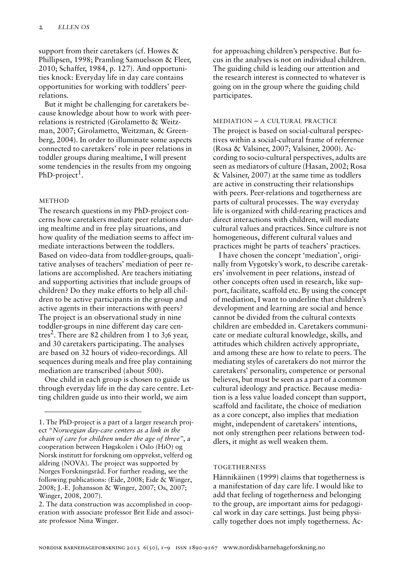support from their caretakers (cf. Howes & Phillipsen, 1998; Pramling Samuelsson & Fleer, 2010; Schaffer, 1984, p. 127). And opportunities knock: Everyday life in day care contains opportunities for working with toddlers' peerrelations.

But it might be challenging for caretakers because knowledge about how to work with peerrelations is restricted (Girolametto & Weitzman, 2007; Girolametto, Weitzman, & Greenberg, 2004). In order to illuminate some aspects connected to caretakers' role in peer relations in toddler groups during mealtime, I will present some tendencies in the results from my ongoing PhD-project<sup>1</sup>.

## METHOD

The research questions in my PhD-project concerns how caretakers mediate peer relations during mealtime and in free play situations, and how quality of the mediation seems to affect immediate interactions between the toddlers. Based on video-data from toddler-groups, qualitative analyses of teachers' mediation of peer relations are accomplished. Are teachers initiating and supporting activities that include groups of children? Do they make efforts to help all children to be active participants in the group and active agents in their interactions with peers? The project is an observational study in nine toddler-groups in nine different day care centres<sup>2</sup>. There are 82 children from 1 to 3;6 year, and 30 caretakers participating. The analyses are based on 32 hours of video-recordings. All sequences during meals and free play containing mediation are transcribed (about 500).

One child in each group is chosen to guide us through everyday life in the day care centre. Letting children guide us into their world, we aim

for approaching children's perspective. But focus in the analyses is not on individual children. The guiding child is leading our attention and the research interest is connected to whatever is going on in the group where the guiding child participates.

#### MEDIATION – A CULTURAL PRACTICE

The project is based on social-cultural perspectives within a social-cultural frame of reference (Rosa & Valsiner, 2007; Valsiner, 2000). According to socio-cultural perspectives, adults are seen as mediators of culture (Hasan, 2002; Rosa & Valsiner, 2007) at the same time as toddlers are active in constructing their relationships with peers. Peer-relations and togetherness are parts of cultural processes. The way everyday life is organized with child-rearing practices and direct interactions with children, will mediate cultural values and practices. Since culture is not homogeneous, different cultural values and practices might be parts of teachers' practices.

I have chosen the concept 'mediation', originally from Vygotsky's work, to describe caretakers' involvement in peer relations, instead of other concepts often used in research, like support, facilitate, scaffold etc. By using the concept of mediation, I want to underline that children's development and learning are social and hence cannot be divided from the cultural contexts children are embedded in. Caretakers communicate or mediate cultural knowledge, skills, and attitudes which children actively appropriate, and among these are how to relate to peers. The mediating styles of caretakers do not mirror the caretakers' personality, competence or personal believes, but must be seen as a part of a common cultural ideology and practice. Because mediation is a less value loaded concept than support, scaffold and facilitate, the choice of mediation as a core concept, also implies that mediation might, independent of caretakers' intentions, not only strengthen peer relations between toddlers, it might as well weaken them.

## TOGETHERNESS

Hännikäinen (1999) claims that togetherness is a manifestation of day care life. I would like to add that feeling of togetherness and belonging to the group, are important aims for pedagogical work in day care settings. Just being physically together does not imply togetherness. Ac-

<sup>1.</sup> The PhD-project is a part of a larger research project "*Norwegian day-care centers as a link in the chain of care for children under the age of three"*, a cooperation between Høgskolen i Oslo (HiO) og Norsk institutt for forskning om oppvekst, velferd og aldring (NOVA). The project was supported by Norges Forskningsråd. For further reading, see the following publications: (Eide, 2008; Eide & Winger, 2008; J.-E. Johansson & Winger, 2007; Os, 2007; Winger, 2008, 2007).

<sup>2.</sup> The data construction was accomplished in cooperation with associate professor Brit Eide and associate professor Nina Winger.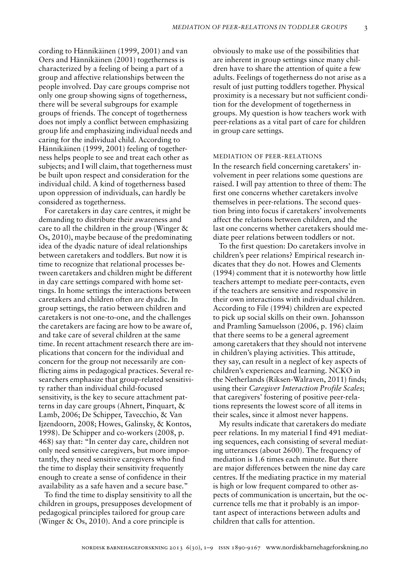cording to Hännikäinen (1999, 2001) and van Oers and Hännikäinen (2001) togetherness is characterized by a feeling of being a part of a group and affective relationships between the people involved. Day care groups comprise not only one group showing signs of togetherness, there will be several subgroups for example groups of friends. The concept of togetherness does not imply a conflict between emphasizing group life and emphasizing individual needs and caring for the individual child. According to Hännikäinen (1999, 2001) feeling of togetherness helps people to see and treat each other as subjects; and I will claim, that togetherness must be built upon respect and consideration for the individual child. A kind of togetherness based upon oppression of individuals, can hardly be considered as togetherness.

For caretakers in day care centres, it might be demanding to distribute their awareness and care to all the children in the group (Winger & Os, 2010), maybe because of the predominating idea of the dyadic nature of ideal relationships between caretakers and toddlers. But now it is time to recognize that relational processes between caretakers and children might be different in day care settings compared with home settings. In home settings the interactions between caretakers and children often are dyadic. In group settings, the ratio between children and caretakers is not one-to-one, and the challenges the caretakers are facing are how to be aware of, and take care of several children at the same time. In recent attachment research there are implications that concern for the individual and concern for the group not necessarily are conflicting aims in pedagogical practices. Several researchers emphasize that group-related sensitivity rather than individual child-focused sensitivity, is the key to secure attachment patterns in day care groups (Ahnert, Pinquart, & Lamb, 2006; De Schipper, Tavecchio, & Van Ijzendoorn, 2008; Howes, Galinsky, & Kontos, 1998). De Schipper and co-workers (2008, p. 468) say that: "In center day care, children not only need sensitive caregivers, but more importantly, they need sensitive caregivers who find the time to display their sensitivity frequently enough to create a sense of confidence in their availability as a safe haven and a secure base."

To find the time to display sensitivity to all the children in groups, presupposes development of pedagogical principles tailored for group care (Winger & Os, 2010). And a core principle is

obviously to make use of the possibilities that are inherent in group settings since many children have to share the attention of quite a few adults. Feelings of togetherness do not arise as a result of just putting toddlers together. Physical proximity is a necessary but not sufficient condition for the development of togetherness in groups. My question is how teachers work with peer-relations as a vital part of care for children in group care settings.

## MEDIATION OF PEER-RELATIONS

In the research field concerning caretakers' involvement in peer relations some questions are raised. I will pay attention to three of them: The first one concerns whether caretakers involve themselves in peer-relations. The second question bring into focus if caretakers' involvements affect the relations between children, and the last one concerns whether caretakers should mediate peer relations between toddlers or not.

To the first question: Do caretakers involve in children's peer relations? Empirical research indicates that they do not. Howes and Clements (1994) comment that it is noteworthy how little teachers attempt to mediate peer-contacts, even if the teachers are sensitive and responsive in their own interactions with individual children. According to File (1994) children are expected to pick up social skills on their own. Johansson and Pramling Samuelsson (2006, p. 196) claim that there seems to be a general agreement among caretakers that they should not intervene in children's playing activities. This attitude, they say, can result in a neglect of key aspects of children's experiences and learning. NCKO in the Netherlands (Riksen-Walraven, 2011) finds; using their *Caregiver Interaction Profile Scales*; that caregivers' fostering of positive peer-relations represents the lowest score of all items in their scales, since it almost never happens.

My results indicate that caretakers do mediate peer relations. In my material I find 491 mediating sequences, each consisting of several mediating utterances (about 2600). The frequency of mediation is 1.6 times each minute. But there are major differences between the nine day care centres. If the mediating practice in my material is high or low frequent compared to other aspects of communication is uncertain, but the occurrence tells me that it probably is an important aspect of interactions between adults and children that calls for attention.

nordisk barnehageforskning 2013 6(30), 1–9 issn 1890-9167 www.nordiskbarnehageforskning.no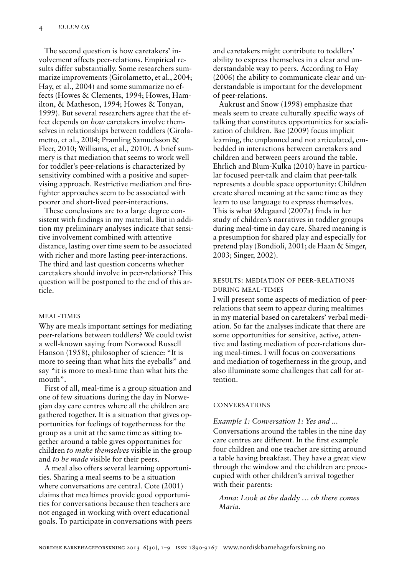The second question is how caretakers' involvement affects peer-relations. Empirical results differ substantially. Some researchers summarize improvements (Girolametto, et al., 2004; Hay, et al., 2004) and some summarize no effects (Howes & Clements, 1994; Howes, Hamilton, & Matheson, 1994; Howes & Tonyan, 1999). But several researchers agree that the effect depends on *how* caretakers involve themselves in relationships between toddlers (Girolametto, et al., 2004; Pramling Samuelsson & Fleer, 2010; Williams, et al., 2010). A brief summery is that mediation that seems to work well for toddler's peer-relations is characterized by sensitivity combined with a positive and supervising approach. Restrictive mediation and firefighter approaches seem to be associated with poorer and short-lived peer-interactions.

These conclusions are to a large degree consistent with findings in my material. But in addition my preliminary analyses indicate that sensitive involvement combined with attentive distance, lasting over time seem to be associated with richer and more lasting peer-interactions. The third and last question concerns whether caretakers should involve in peer-relations? This question will be postponed to the end of this article.

#### MEAL-TIMES

Why are meals important settings for mediating peer-relations between toddlers? We could twist a well-known saying from Norwood Russell Hanson (1958), philosopher of science: "It is more to seeing than what hits the eyeballs" and say "it is more to meal-time than what hits the mouth".

First of all, meal-time is a group situation and one of few situations during the day in Norwegian day care centres where all the children are gathered together**.** It is a situation that gives opportunities for feelings of togetherness for the group as a unit at the same time as sitting together around a table gives opportunities for children *to make themselves* visible in the group and *to be made* visible for their peers.

A meal also offers several learning opportunities. Sharing a meal seems to be a situation where conversations are central. Cote (2001) claims that mealtimes provide good opportunities for conversations because then teachers are not engaged in working with overt educational goals. To participate in conversations with peers and caretakers might contribute to toddlers' ability to express themselves in a clear and understandable way to peers. According to Hay (2006) the ability to communicate clear and understandable is important for the development of peer-relations.

Aukrust and Snow (1998) emphasize that meals seem to create culturally specific ways of talking that constitutes opportunities for socialization of children. Bae (2009) focus implicit learning**,** the unplanned and not articulated, embedded in interactions between caretakers and children and between peers around the table. Ehrlich and Blum-Kulka (2010) have in particular focused peer-talk and claim that peer-talk represents a double space opportunity: Children create shared meaning at the same time as they learn to use language to express themselves. This is what Ødegaard (2007a) finds in her study of children's narratives in toddler groups during meal-time in day care. Shared meaning is a presumption for shared play and especially for pretend play (Bondioli, 2001; de Haan & Singer, 2003; Singer, 2002).

## RESULTS: MEDIATION OF PEER-RELATIONS DURING MEAL-TIMES

I will present some aspects of mediation of peerrelations that seem to appear during mealtimes in my material based on caretakers' verbal mediation. So far the analyses indicate that there are some opportunities for sensitive, active, attentive and lasting mediation of peer-relations during meal-times. I will focus on conversations and mediation of togetherness in the group, and also illuminate some challenges that call for attention.

## CONVERSATIONS

## *Example 1: Conversation 1: Yes and ...*

Conversations around the tables in the nine day care centres are different. In the first example four children and one teacher are sitting around a table having breakfast. They have a great view through the window and the children are preoccupied with other children's arrival together with their parents:

*Anna: Look at the daddy … oh there comes Maria.*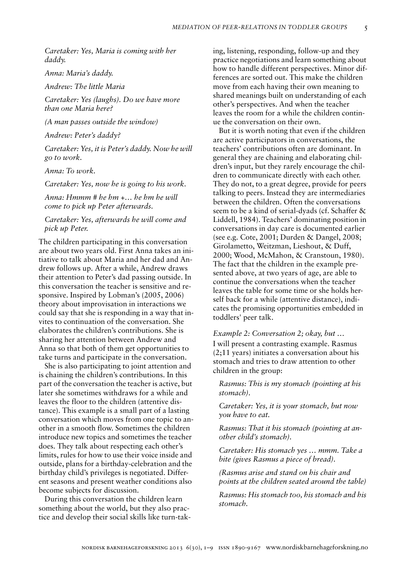*Caretaker: Yes, Maria is coming with her daddy.* 

*Anna: Maria's daddy.*

*Andrew: The little Maria*

*Caretaker: Yes (laughs). Do we have more than one Maria here?*

*(A man passes outside the window)*

*Andrew: Peter's daddy?* 

*Caretaker: Yes, it is Peter's daddy. Now he will go to work.* 

*Anna: To work.* 

*Caretaker: Yes, now he is going to his work.*

*Anna: Hmmm # he hm +… he hm he will come to pick up Peter afterwards.*

*Caretaker: Yes, afterwards he will come and pick up Peter.* 

The children participating in this conversation are about two years old. First Anna takes an initiative to talk about Maria and her dad and Andrew follows up. After a while, Andrew draws their attention to Peter's dad passing outside. In this conversation the teacher is sensitive and responsive. Inspired by Lobman's (2005, 2006) theory about improvisation in interactions we could say that she is responding in a way that invites to continuation of the conversation. She elaborates the children's contributions. She is sharing her attention between Andrew and Anna so that both of them get opportunities to take turns and participate in the conversation.

She is also participating to joint attention and is chaining the children's contributions. In this part of the conversation the teacher is active, but later she sometimes withdraws for a while and leaves the floor to the children (attentive distance). This example is a small part of a lasting conversation which moves from one topic to another in a smooth flow. Sometimes the children introduce new topics and sometimes the teacher does. They talk about respecting each other's limits, rules for how to use their voice inside and outside, plans for a birthday-celebration and the birthday child's privileges is negotiated. Different seasons and present weather conditions also become subjects for discussion.

During this conversation the children learn something about the world, but they also practice and develop their social skills like turn-taking, listening, responding, follow-up and they practice negotiations and learn something about how to handle different perspectives. Minor differences are sorted out. This make the children move from each having their own meaning to shared meanings built on understanding of each other's perspectives. And when the teacher leaves the room for a while the children continue the conversation on their own.

But it is worth noting that even if the children are active participators in conversations, the teachers' contributions often are dominant. In general they are chaining and elaborating children's input, but they rarely encourage the children to communicate directly with each other. They do not, to a great degree, provide for peers talking to peers. Instead they are intermediaries between the children. Often the conversations seem to be a kind of serial-dyads (cf. Schaffer & Liddell, 1984). Teachers' dominating position in conversations in day care is documented earlier (see e.g. Cote, 2001; Durden & Dangel, 2008; Girolametto, Weitzman, Lieshout, & Duff, 2000; Wood, McMahon, & Cranstoun, 1980). The fact that the children in the example presented above, at two years of age, are able to continue the conversations when the teacher leaves the table for some time or she holds herself back for a while (attentive distance), indicates the promising opportunities embedded in toddlers' peer talk.

*Example 2: Conversation 2; okay, but …*

I will present a contrasting example. Rasmus (2;11 years) initiates a conversation about his stomach and tries to draw attention to other children in the group:

*Rasmus: This is my stomach (pointing at his stomach).*

*Caretaker: Yes, it is your stomach, but now you have to eat.*

*Rasmus: That it his stomach (pointing at another child's stomach).*

*Caretaker: His stomach yes … mmm. Take a bite (gives Rasmus a piece of bread).*

*(Rasmus arise and stand on his chair and points at the children seated around the table)*

*Rasmus: His stomach too, his stomach and his stomach.*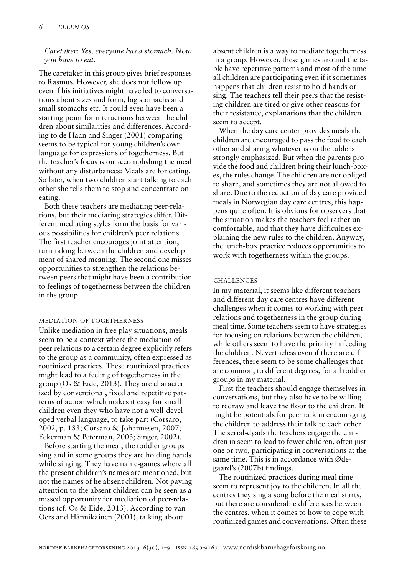*Caretaker: Yes, everyone has a stomach. Now you have to eat.*

The caretaker in this group gives brief responses to Rasmus. However, she does not follow up even if his initiatives might have led to conversations about sizes and form, big stomachs and small stomachs etc. It could even have been a starting point for interactions between the children about similarities and differences. According to de Haan and Singer (2001) comparing seems to be typical for young children's own language for expressions of togetherness. But the teacher's focus is on accomplishing the meal without any disturbances: Meals are for eating. So later, when two children start talking to each other she tells them to stop and concentrate on eating.

Both these teachers are mediating peer-relations, but their mediating strategies differ. Different mediating styles form the basis for various possibilities for children's peer relations. The first teacher encourages joint attention, turn-taking between the children and development of shared meaning. The second one misses opportunities to strengthen the relations between peers that might have been a contribution to feelings of togetherness between the children in the group.

## MEDIATION OF TOGETHERNESS

Unlike mediation in free play situations, meals seem to be a context where the mediation of peer relations to a certain degree explicitly refers to the group as a community, often expressed as routinized practices. These routinized practices might lead to a feeling of togetherness in the group (Os & Eide, 2013). They are characterized by conventional, fixed and repetitive patterns of action which makes it easy for small children even they who have not a well-developed verbal language, to take part (Corsaro, 2002, p. 183; Corsaro & Johannesen, 2007; Eckerman & Peterman, 2003; Singer, 2002).

Before starting the meal, the toddler groups sing and in some groups they are holding hands while singing. They have name-games where all the present children's names are mentioned, but not the names of he absent children. Not paying attention to the absent children can be seen as a missed opportunity for mediation of peer-relations (cf. Os & Eide, 2013). According to van Oers and Hännikäinen (2001), talking about

absent children is a way to mediate togetherness in a group. However, these games around the table have repetitive patterns and most of the time all children are participating even if it sometimes happens that children resist to hold hands or sing. The teachers tell their peers that the resisting children are tired or give other reasons for their resistance, explanations that the children seem to accept.

When the day care center provides meals the children are encouraged to pass the food to each other and sharing whatever is on the table is strongly emphasized. But when the parents provide the food and children bring their lunch-boxes, the rules change. The children are not obliged to share, and sometimes they are not allowed to share. Due to the reduction of day care provided meals in Norwegian day care centres, this happens quite often. It is obvious for observers that the situation makes the teachers feel rather uncomfortable, and that they have difficulties explaining the new rules to the children. Anyway, the lunch-box practice reduces opportunities to work with togetherness within the groups.

## **CHALLENGES**

In my material, it seems like different teachers and different day care centres have different challenges when it comes to working with peer relations and togetherness in the group during meal time. Some teachers seem to have strategies for focusing on relations between the children, while others seem to have the priority in feeding the children. Nevertheless even if there are differences, there seem to be some challenges that are common, to different degrees, for all toddler groups in my material.

First the teachers should engage themselves in conversations, but they also have to be willing to redraw and leave the floor to the children. It might be potentials for peer talk in encouraging the children to address their talk to each other. The serial-dyads the teachers engage the children in seem to lead to fewer children, often just one or two, participating in conversations at the same time. This is in accordance with Ødegaard's (2007b) findings.

The routinized practices during meal time seem to represent joy to the children. In all the centres they sing a song before the meal starts, but there are considerable differences between the centres, when it comes to how to cope with routinized games and conversations. Often these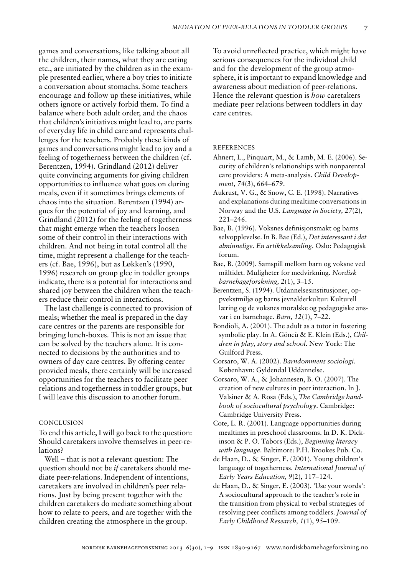games and conversations, like talking about all the children, their names, what they are eating etc., are initiated by the children as in the example presented earlier, where a boy tries to initiate a conversation about stomachs. Some teachers encourage and follow up these initiatives, while others ignore or actively forbid them. To find a balance where both adult order, and the chaos that children's initiatives might lead to, are parts of everyday life in child care and represents challenges for the teachers. Probably these kinds of games and conversations might lead to joy and a feeling of togetherness between the children (cf. Berentzen, 1994). Grindland (2012) deliver quite convincing arguments for giving children opportunities to influence what goes on during meals, even if it sometimes brings elements of chaos into the situation. Berentzen (1994) argues for the potential of joy and learning, and Grindland (2012) for the feeling of togetherness that might emerge when the teachers loosen some of their control in their interactions with children. And not being in total control all the time, might represent a challenge for the teachers (cf. Bae, 1996), but as Løkken's (1990, 1996) research on group glee in toddler groups indicate, there is a potential for interactions and shared joy between the children when the teachers reduce their control in interactions.

The last challenge is connected to provision of meals; whether the meal is prepared in the day care centres or the parents are responsible for bringing lunch-boxes. This is not an issue that can be solved by the teachers alone. It is connected to decisions by the authorities and to owners of day care centres. By offering center provided meals, there certainly will be increased opportunities for the teachers to facilitate peer relations and togetherness in toddler groups, but I will leave this discussion to another forum.

#### CONCLUSION

To end this article, I will go back to the question: Should caretakers involve themselves in peer-relations?

Well – that is not a relevant question: The question should not be *if* caretakers should mediate peer-relations. Independent of intentions, caretakers are involved in children's peer relations. Just by being present together with the children caretakers do mediate something about how to relate to peers, and are together with the children creating the atmosphere in the group.

To avoid unreflected practice, which might have serious consequences for the individual child and for the development of the group atmosphere, it is important to expand knowledge and awareness about mediation of peer-relations. Hence the relevant question is *how* caretakers mediate peer relations between toddlers in day care centres.

### **REFERENCES**

- Ahnert, L., Pinquart, M., & Lamb, M. E. (2006). Security of children's relationships with nonparental care providers: A meta-analysis. *Child Development, 74*(3), 664–679.
- Aukrust, V. G., & Snow, C. E. (1998). Narratives and explanations during mealtime conversations in Norway and the U.S. *Language in Society, 27*(2), 221–246.
- Bae, B. (1996). Voksnes definisjonsmakt og barns selvopplevelse. In B. Bae (Ed.), *Det interessant i det alminnelige. En artikkelsamling*. Oslo: Pedagogisk forum.
- Bae, B. (2009). Samspill mellom barn og voksne ved måltidet. Muligheter for medvirkning. *Nordisk barnehageforskning, 2*(1), 3–15.
- Berentzen, S. (1994). Utdannelsesinstitusjoner, oppvekstmiljø og barns jevnalderkultur: Kulturell læring og de voksnes moralske og pedagogiske ansvar i en barnehage. *Barn, 12*(1), 7–22.
- Bondioli, A. (2001). The adult as a tutor in fostering symbolic play. In A. Göncü & E. Klein (Eds.), *Children in play, story and school*. New York: The Guilford Press.
- Corsaro, W. A. (2002). *Barndommens sociologi*. København: Gyldendal Uddannelse.
- Corsaro, W. A., & Johannesen, B. O. (2007). The creation of new cultures in peer interaction. In J. Valsiner & A. Rosa (Eds.), *The Cambridge handbook of sociocultural psychology*. Cambridge: Cambridge University Press.
- Cote, L. R. (2001). Language opportunities during mealtimes in preschool classrooms. In D. K. Dickinson & P. O. Tabors (Eds.), *Beginning literacy with language*. Baltimore: P.H. Brookes Pub. Co.
- de Haan, D., & Singer, E. (2001). Young children's language of togetherness. *International Journal of Early Years Education, 9*(2), 117–124.
- de Haan, D., & Singer, E. (2003). 'Use your words': A sociocultural approach to the teacher's role in the transition from physical to verbal strategies of resolving peer conflicts among toddlers. *Journal of Early Childhood Research, 1*(1), 95–109.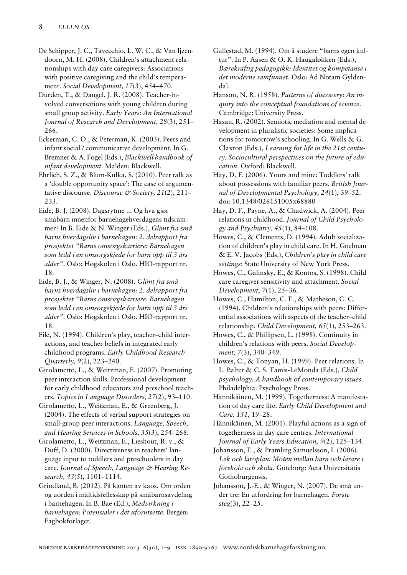De Schipper, J. C., Tavecchio, L. W. C., & Van Ijzendoorn, M. H. (2008). Children's attachment relationships with day care caregivers: Associations with positive caregiving and the child's temperament. *Social Development, 17*(3), 454–470.

Durden, T., & Dangel, J. R. (2008). Teacher-involved conversations with young children during small group activity. *Early Years: An International Journal of Research and Development, 28*(3), 251– 266.

Eckerman, C. O., & Peterman, K. (2003). Peers and infant social / communicative development. In G. Bremner & A. Fogel (Eds.), *Blackwell handbook of infant development*. Malden: Blackwell.

Ehrlich, S. Z., & Blum-Kulka, S. (2010). Peer talk as a 'double opportunity space': The case of argumentative discourse. *Discourse* & Society, 21(2), 211-233.

Eide, B. J. (2008). Dagsrytme ... Og hva gjør småbarn innenfor barnehagehverdagens tidsrammer? In B. Eide & N. Winger (Eds.), *Glimt fra små barns hverdagsliv i barnehagen: 2. delrapport fra prosjektet "Barns omsorgskarriere: Barnehagen som ledd i en omsorgskjede for barn opp til 3 års alder"*. Oslo: Høgskolen i Oslo. HIO-rapport nr. 18.

Eide, B. J., & Winger, N. (2008). *Glimt fra små barns hverdagsliv i barnehagen: 2. delrapport fra prosjektet "Barns omsorgskarriere. Barnehagen som ledd i en omsorgskjede for barn opp til 3 års alder"*. Oslo: Høgskolen i Oslo. HIO-rapport nr. 18.

File, N. (1994). Children's play, teacher–child interactions, and teacher beliefs in integrated early childhood programs. *Early Childhood Research Quarterly, 9*(2), 223–240.

Girolametto, L., & Weitzman, E. (2007). Promoting peer interaction skills: Professional development for early childhood educators and preschool teachers. *Topics in Language Disorders, 27*(2), 93–110.

Girolametto, L., Weitzman, E., & Greenberg, J. (2004). The effects of verbal support strategies on small-group peer interactions. *Language, Speech, and Hearing Services in Schools, 35*(3), 254–268.

Girolametto, L., Weitzman, E., Lieshout, R. v., & Duff, D. (2000). Directiveness in teachers' language input to toddlers and preschoolers in day care. *Journal of Speech, Language & Hearing Research, 43*(5), 1101–1114.

Grindland, B. (2012). På kanten av kaos. Om orden og uorden i måltidsfellesskap på småbarnsavdeling i barnehagen. In B. Bae (Ed.), *Medvirkning i barnehagen: Potensialer i det uforutsette*. Bergen: Fagbokforlaget.

Gullestad, M. (1994). Om å studere "barns egen kultur". In P. Aasen & O. K. Haugaløkken (Eds.), *Bærekraftig pedagogikk: Identitet og kompetanse i det moderne samfunnet*. Oslo: Ad Notam Gyldendal.

Hanson, N. R. (1958). *Patterns of discovery: An inquiry into the conceptual foundations of science*. Cambridge: University Press.

Hasan, R. (2002). Semiotic mediation and mental development in pluralistic societies: Some implications for tomorrow's schooling. In G. Wells & G. Claxton (Eds.), *Learning for life in the 21st century: Sociocultural perspectives on the future of education*. Oxford: Blackwell.

Hay, D. F. (2006). Yours and mine: Toddlers' talk about possessions with familiar peers. *British Journal of Developmental Psychology, 24*(1), 39–52. doi: 10.1348/026151005x68880

Hay, D. F., Payne, A., & Chadwick, A. (2004). Peer relations in childhood. *Journal of Child Psychology and Psychiatry, 45*(1), 84–108.

Howes, C., & Clements, D. (1994). Adult socialization of children's play in child care. In H. Goelman & E. V. Jacobs (Eds.), *Children's play in child care settings*: State University of New York Press.

Howes, C., Galinsky, E., & Kontos, S. (1998). Child care caregiver sensitivity and attachment. *Social Development, 7*(1), 25–36.

Howes, C., Hamilton, C. E., & Matheson, C. C. (1994). Children's relationships with peers: Differential associations with aspects of the teacher–child relationship. *Child Development, 65*(1), 253–263.

Howes, C., & Phillipsen, L. (1998). Continuity in children's relations with peers. *Social Development, 7*(3), 340–349.

Howes, C., & Tonyan, H. (1999). Peer relations. In L. Balter & C. S. Tamis-LeMonda (Eds.), *Child psychology: A handbook of contemporary issues.* Philadelphia: Psychology Press.

Hännikäinen, M. (1999). Togetherness: A manifestation of day care life. *Early Child Development and Care, 151*, 19–28.

Hännikäinen, M. (2001). Playful actions as a sign of togetherness in day care centres. *International Journal of Early Years Education, 9*(2), 125–134.

Johansson, E., & Pramling Samuelsson, I. (2006). *Lek och läroplan: Möten mellan barn och lärare i förskola och skola*. Göteborg: Acta Universitatis Gothoburgensis.

Johansson, J.-E., & Winger, N. (2007). De små under tre: En utfordring for barnehagen. *Første steg*(3), 22–25.